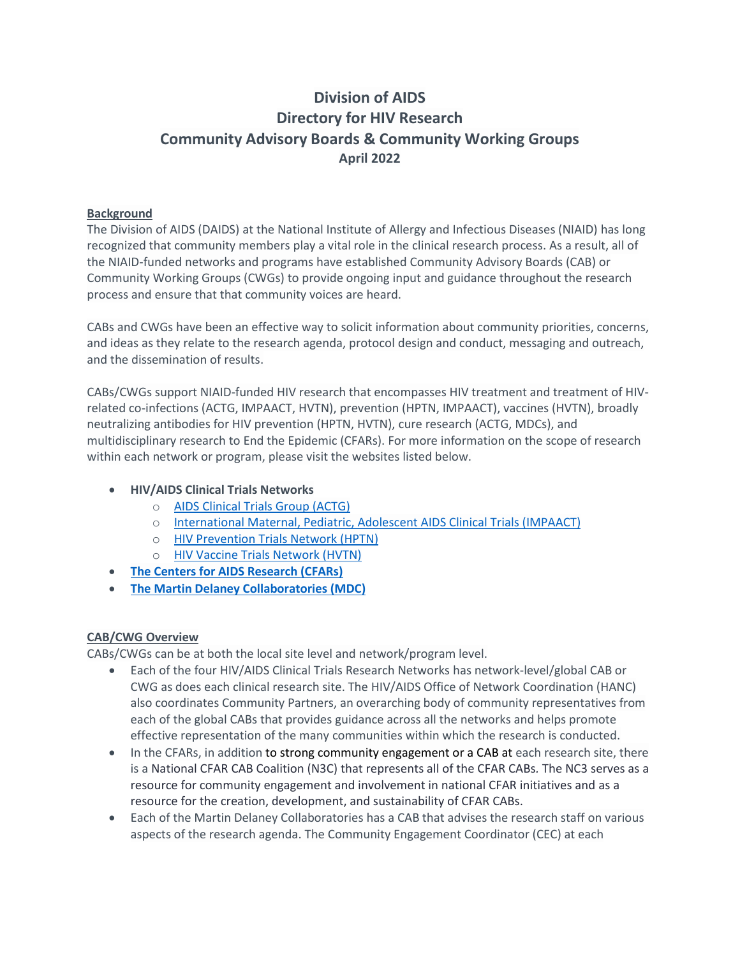# **Division of AIDS Directory for HIV Research Community Advisory Boards & Community Working Groups April 2022**

## **Background**

The Division of AIDS (DAIDS) at the National Institute of Allergy and Infectious Diseases (NIAID) has long recognized that community members play a vital role in the clinical research process. As a result, all of the NIAID-funded networks and programs have established Community Advisory Boards (CAB) or Community Working Groups (CWGs) to provide ongoing input and guidance throughout the research process and ensure that that community voices are heard.

CABs and CWGs have been an effective way to solicit information about community priorities, concerns, and ideas as they relate to the research agenda, protocol design and conduct, messaging and outreach, and the dissemination of results.

CABs/CWGs support NIAID-funded HIV research that encompasses HIV treatment and treatment of HIVrelated co-infections (ACTG, IMPAACT, HVTN), prevention (HPTN, IMPAACT), vaccines (HVTN), broadly neutralizing antibodies for HIV prevention (HPTN, HVTN), cure research (ACTG, MDCs), and multidisciplinary research to End the Epidemic (CFARs). For more information on the scope of research within each network or program, please visit the websites listed below.

- **HIV/AIDS Clinical Trials Networks** 
	- o [AIDS Clinical Trials Group](https://actgnetwork.org/) (ACTG)
	- o [International Maternal, Pediatric, Adolescent AIDS Clinical Trials \(IMPAACT\)](https://www.impaactnetwork.org/about)
	- o [HIV Prevention Trials Network \(HPTN\)](https://www.hptn.org/)
	- o [HIV Vaccine Trials Network \(HVTN\)](https://www.hvtn.org/en.html)
- **[The Centers for AIDS Research \(CFARs\)](https://www.niaid.nih.gov/research/centers-aids-research)**
- **[The Martin Delaney Collaboratories \(MDC\)](https://www.niaid.nih.gov/research/mdc)**

## **CAB/CWG Overview**

CABs/CWGs can be at both the local site level and network/program level.

- Each of the four HIV/AIDS Clinical Trials Research Networks has network-level/global CAB or CWG as does each clinical research site. The HIV/AIDS Office of Network Coordination (HANC) also coordinates Community Partners, an overarching body of community representatives from each of the global CABs that provides guidance across all the networks and helps promote effective representation of the many communities within which the research is conducted.
- In the CFARs, in addition to strong community engagement or a CAB at each research site, there is a National CFAR CAB Coalition (N3C) that represents all of the CFAR CABs*.* The NC3 serves as a resource for community engagement and involvement in national CFAR initiatives and as a resource for the creation, development, and sustainability of CFAR CABs.
- Each of the Martin Delaney Collaboratories has a CAB that advises the research staff on various aspects of the research agenda. The Community Engagement Coordinator (CEC) at each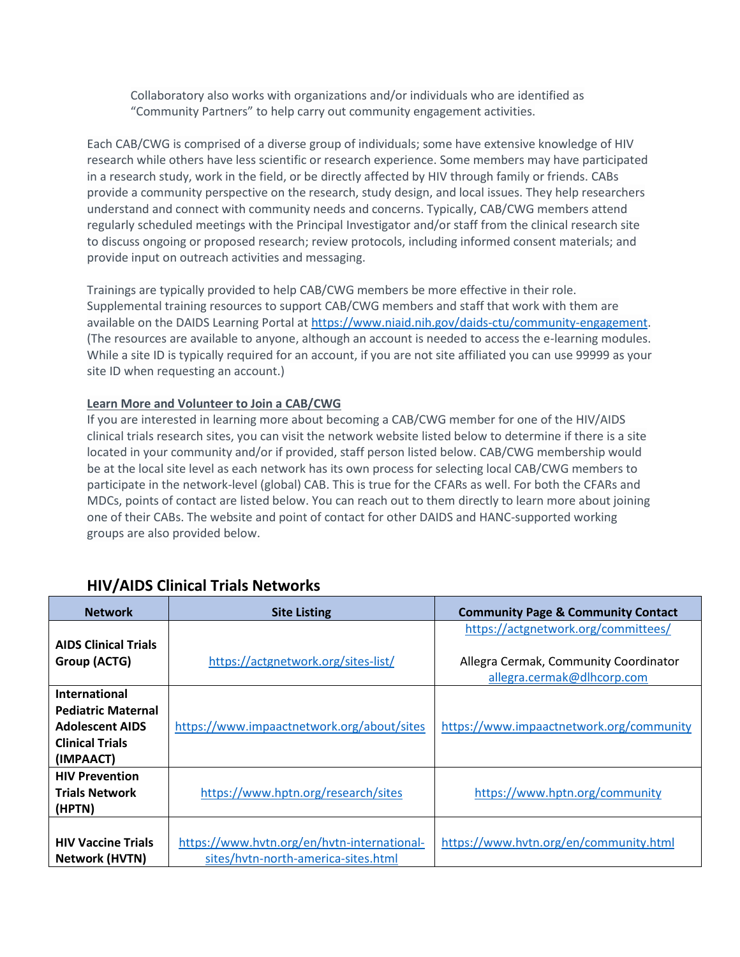Collaboratory also works with organizations and/or individuals who are identified as "Community Partners" to help carry out community engagement activities.

Each CAB/CWG is comprised of a diverse group of individuals; some have extensive knowledge of HIV research while others have less scientific or research experience. Some members may have participated in a research study, work in the field, or be directly affected by HIV through family or friends. CABs provide a community perspective on the research, study design, and local issues. They help researchers understand and connect with community needs and concerns. Typically, CAB/CWG members attend regularly scheduled meetings with the Principal Investigator and/or staff from the clinical research site to discuss ongoing or proposed research; review protocols, including informed consent materials; and provide input on outreach activities and messaging.

Trainings are typically provided to help CAB/CWG members be more effective in their role. Supplemental training resources to support CAB/CWG members and staff that work with them are available on the DAIDS Learning Portal a[t https://www.niaid.nih.gov/daids-ctu/community-engagement.](https://www.niaid.nih.gov/daids-ctu/community-engagement) (The resources are available to anyone, although an account is needed to access the e-learning modules. While a site ID is typically required for an account, if you are not site affiliated you can use 99999 as your site ID when requesting an account.)

### **Learn More and Volunteer to Join a CAB/CWG**

If you are interested in learning more about becoming a CAB/CWG member for one of the HIV/AIDS clinical trials research sites, you can visit the network website listed below to determine if there is a site located in your community and/or if provided, staff person listed below. CAB/CWG membership would be at the local site level as each network has its own process for selecting local CAB/CWG members to participate in the network-level (global) CAB. This is true for the CFARs as well. For both the CFARs and MDCs, points of contact are listed below. You can reach out to them directly to learn more about joining one of their CABs. The website and point of contact for other DAIDS and HANC-supported working groups are also provided below.

| <b>Network</b>              | <b>Site Listing</b>                         | <b>Community Page &amp; Community Contact</b> |
|-----------------------------|---------------------------------------------|-----------------------------------------------|
|                             |                                             | https://actgnetwork.org/committees/           |
| <b>AIDS Clinical Trials</b> |                                             |                                               |
| Group (ACTG)                | https://actgnetwork.org/sites-list/         | Allegra Cermak, Community Coordinator         |
|                             |                                             | allegra.cermak@dlhcorp.com                    |
| <b>International</b>        |                                             |                                               |
| <b>Pediatric Maternal</b>   |                                             |                                               |
| <b>Adolescent AIDS</b>      | https://www.impaactnetwork.org/about/sites  | https://www.impaactnetwork.org/community      |
| <b>Clinical Trials</b>      |                                             |                                               |
| (IMPAACT)                   |                                             |                                               |
| <b>HIV Prevention</b>       |                                             |                                               |
| <b>Trials Network</b>       | https://www.hptn.org/research/sites         | https://www.hptn.org/community                |
| (HPTN)                      |                                             |                                               |
|                             |                                             |                                               |
| <b>HIV Vaccine Trials</b>   | https://www.hvtn.org/en/hvtn-international- | https://www.hvtn.org/en/community.html        |
| <b>Network (HVTN)</b>       | sites/hytn-north-america-sites.html         |                                               |

## **HIV/AIDS Clinical Trials Networks**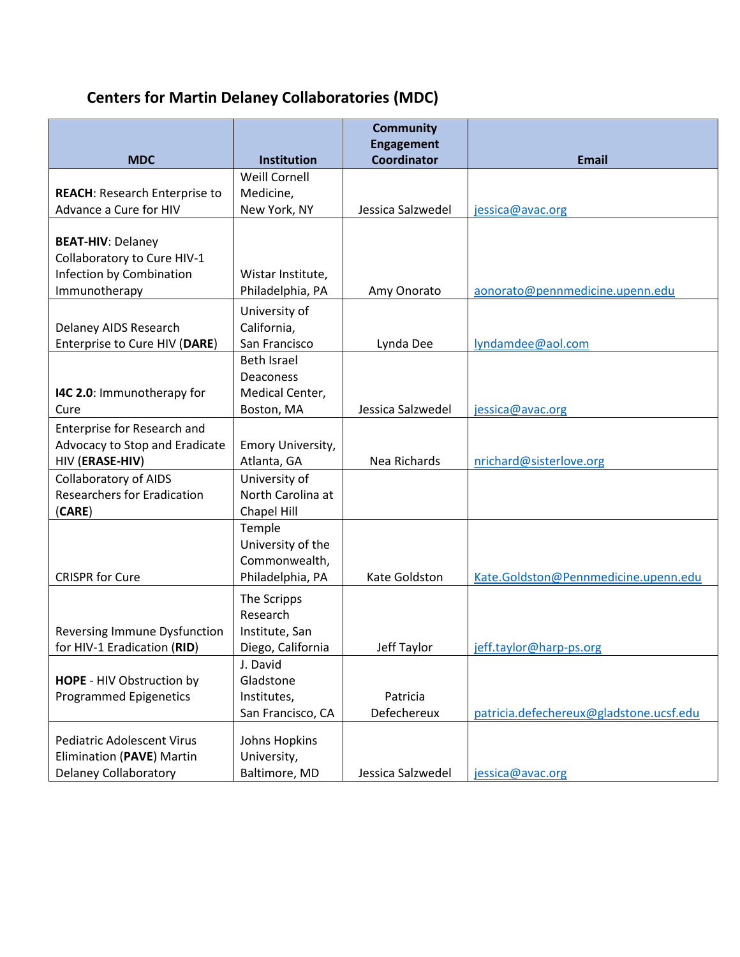# **Centers for Martin Delaney Collaboratories (MDC)**

| <b>Engagement</b><br><b>Coordinator</b><br><b>MDC</b><br><b>Email</b><br>Institution<br><b>Weill Cornell</b><br>Medicine,<br><b>REACH: Research Enterprise to</b><br>Advance a Cure for HIV<br>New York, NY<br>Jessica Salzwedel<br>jessica@avac.org |  | <b>Community</b> |  |
|------------------------------------------------------------------------------------------------------------------------------------------------------------------------------------------------------------------------------------------------------|--|------------------|--|
|                                                                                                                                                                                                                                                      |  |                  |  |
|                                                                                                                                                                                                                                                      |  |                  |  |
|                                                                                                                                                                                                                                                      |  |                  |  |
|                                                                                                                                                                                                                                                      |  |                  |  |
| <b>BEAT-HIV: Delaney</b>                                                                                                                                                                                                                             |  |                  |  |
| Collaboratory to Cure HIV-1                                                                                                                                                                                                                          |  |                  |  |
| Infection by Combination<br>Wistar Institute,                                                                                                                                                                                                        |  |                  |  |
| Immunotherapy<br>Philadelphia, PA<br>Amy Onorato<br>aonorato@pennmedicine.upenn.edu                                                                                                                                                                  |  |                  |  |
| University of                                                                                                                                                                                                                                        |  |                  |  |
| California,<br>Delaney AIDS Research<br>San Francisco<br>Enterprise to Cure HIV (DARE)<br>Lynda Dee<br>lyndamdee@aol.com                                                                                                                             |  |                  |  |
| <b>Beth Israel</b>                                                                                                                                                                                                                                   |  |                  |  |
| Deaconess                                                                                                                                                                                                                                            |  |                  |  |
| I4C 2.0: Immunotherapy for<br>Medical Center,                                                                                                                                                                                                        |  |                  |  |
| Jessica Salzwedel<br>Boston, MA<br>Cure<br>jessica@avac.org                                                                                                                                                                                          |  |                  |  |
| Enterprise for Research and                                                                                                                                                                                                                          |  |                  |  |
| Advocacy to Stop and Eradicate<br>Emory University,                                                                                                                                                                                                  |  |                  |  |
| Atlanta, GA<br>HIV (ERASE-HIV)<br>Nea Richards<br>nrichard@sisterlove.org                                                                                                                                                                            |  |                  |  |
| University of<br><b>Collaboratory of AIDS</b>                                                                                                                                                                                                        |  |                  |  |
| <b>Researchers for Eradication</b><br>North Carolina at<br>Chapel Hill<br>(CARE)                                                                                                                                                                     |  |                  |  |
| Temple                                                                                                                                                                                                                                               |  |                  |  |
| University of the                                                                                                                                                                                                                                    |  |                  |  |
| Commonwealth,                                                                                                                                                                                                                                        |  |                  |  |
| <b>CRISPR for Cure</b><br>Philadelphia, PA<br>Kate Goldston<br>Kate.Goldston@Pennmedicine.upenn.edu                                                                                                                                                  |  |                  |  |
| The Scripps                                                                                                                                                                                                                                          |  |                  |  |
| Research                                                                                                                                                                                                                                             |  |                  |  |
| Reversing Immune Dysfunction<br>Institute, San                                                                                                                                                                                                       |  |                  |  |
| for HIV-1 Eradication (RID)<br>Diego, California<br>Jeff Taylor<br>jeff.taylor@harp-ps.org                                                                                                                                                           |  |                  |  |
| J. David                                                                                                                                                                                                                                             |  |                  |  |
| Gladstone<br><b>HOPE - HIV Obstruction by</b><br><b>Programmed Epigenetics</b><br>Institutes,<br>Patricia                                                                                                                                            |  |                  |  |
| Defechereux<br>San Francisco, CA<br>patricia.defechereux@gladstone.ucsf.edu                                                                                                                                                                          |  |                  |  |
|                                                                                                                                                                                                                                                      |  |                  |  |
| <b>Pediatric Adolescent Virus</b><br>Johns Hopkins                                                                                                                                                                                                   |  |                  |  |
| Elimination (PAVE) Martin<br>University,<br><b>Delaney Collaboratory</b><br>Baltimore, MD<br>Jessica Salzwedel<br>jessica@avac.org                                                                                                                   |  |                  |  |